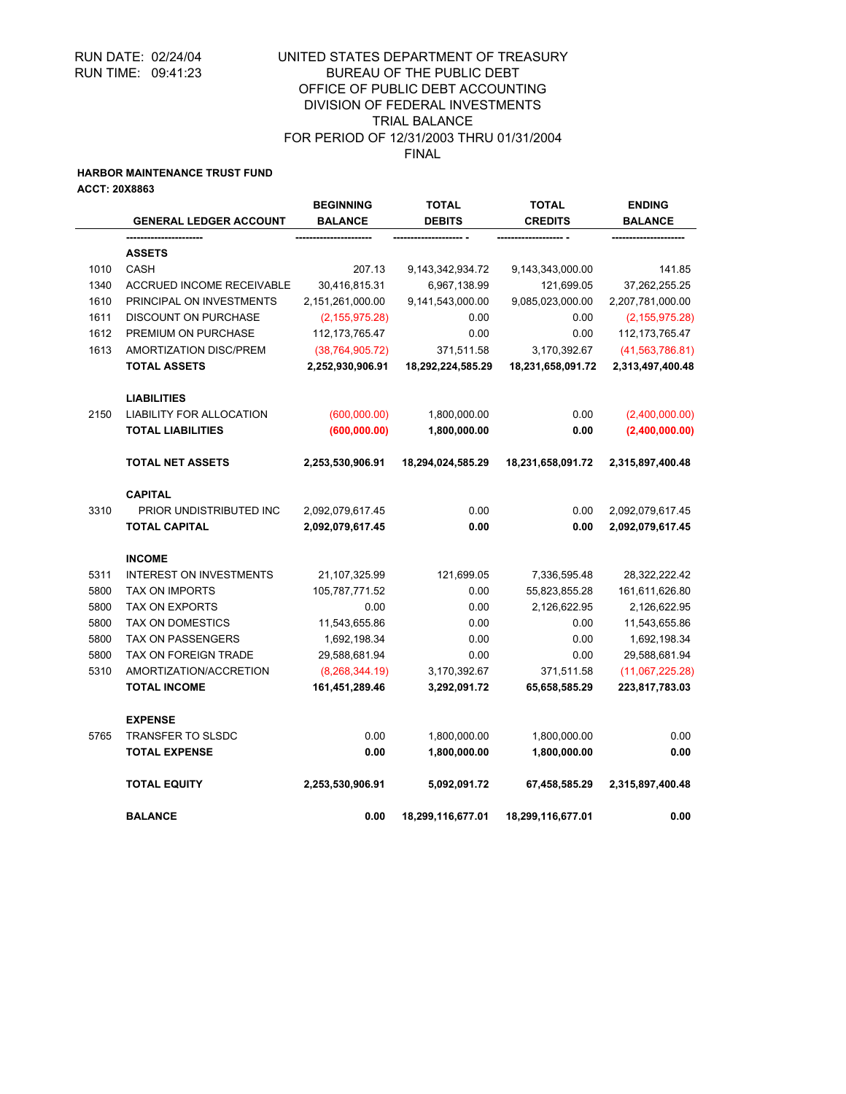## UNITED STATES DEPARTMENT OF TREASURY BUREAU OF THE PUBLIC DEBT OFFICE OF PUBLIC DEBT ACCOUNTING DIVISION OF FEDERAL INVESTMENTS TRIAL BALANCE FOR PERIOD OF 12/31/2003 THRU 01/31/2004 FINAL

### **HARBOR MAINTENANCE TRUST FUND**

**ACCT: 20X8863**

|      | <b>GENERAL LEDGER ACCOUNT</b>                 | <b>BEGINNING</b><br><b>BALANCE</b>    | TOTAL<br><b>DEBITS</b>          | <b>TOTAL</b><br><b>CREDITS</b>    | <b>ENDING</b><br><b>BALANCE</b>       |
|------|-----------------------------------------------|---------------------------------------|---------------------------------|-----------------------------------|---------------------------------------|
|      |                                               |                                       |                                 |                                   |                                       |
|      | <b>ASSETS</b>                                 |                                       |                                 |                                   |                                       |
| 1010 | <b>CASH</b>                                   | 207.13                                | 9,143,342,934.72                | 9,143,343,000.00                  | 141.85                                |
| 1340 | ACCRUED INCOME RECEIVABLE                     | 30,416,815.31                         | 6,967,138.99                    | 121,699.05                        | 37,262,255.25                         |
| 1610 | PRINCIPAL ON INVESTMENTS                      | 2,151,261,000.00                      | 9,141,543,000.00                | 9,085,023,000.00                  | 2,207,781,000.00                      |
| 1611 | <b>DISCOUNT ON PURCHASE</b>                   | (2, 155, 975.28)                      | 0.00                            | 0.00                              | (2, 155, 975.28)                      |
| 1612 | PREMIUM ON PURCHASE                           | 112, 173, 765. 47                     | 0.00                            | 0.00                              | 112, 173, 765. 47                     |
| 1613 | AMORTIZATION DISC/PREM<br><b>TOTAL ASSETS</b> | (38, 764, 905.72)<br>2,252,930,906.91 | 371,511.58<br>18,292,224,585.29 | 3,170,392.67<br>18,231,658,091.72 | (41, 563, 786.81)<br>2,313,497,400.48 |
|      | <b>LIABILITIES</b>                            |                                       |                                 |                                   |                                       |
| 2150 | <b>LIABILITY FOR ALLOCATION</b>               | (600,000.00)                          | 1,800,000.00                    | 0.00                              | (2,400,000.00)                        |
|      | <b>TOTAL LIABILITIES</b>                      | (600, 000.00)                         | 1,800,000.00                    | 0.00                              | (2,400,000.00)                        |
|      | <b>TOTAL NET ASSETS</b>                       | 2,253,530,906.91                      | 18,294,024,585.29               | 18,231,658,091.72                 | 2,315,897,400.48                      |
|      | <b>CAPITAL</b>                                |                                       |                                 |                                   |                                       |
| 3310 | PRIOR UNDISTRIBUTED INC                       | 2,092,079,617.45                      | 0.00                            | 0.00                              | 2,092,079,617.45                      |
|      | <b>TOTAL CAPITAL</b>                          | 2,092,079,617.45                      | 0.00                            | 0.00                              | 2,092,079,617.45                      |
|      | <b>INCOME</b>                                 |                                       |                                 |                                   |                                       |
| 5311 | <b>INTEREST ON INVESTMENTS</b>                | 21,107,325.99                         | 121,699.05                      | 7,336,595.48                      | 28,322,222.42                         |
| 5800 | <b>TAX ON IMPORTS</b>                         | 105,787,771.52                        | 0.00                            | 55,823,855.28                     | 161,611,626.80                        |
| 5800 | <b>TAX ON EXPORTS</b>                         | 0.00                                  | 0.00                            | 2,126,622.95                      | 2,126,622.95                          |
| 5800 | <b>TAX ON DOMESTICS</b>                       | 11,543,655.86                         | 0.00                            | 0.00                              | 11,543,655.86                         |
| 5800 | <b>TAX ON PASSENGERS</b>                      | 1,692,198.34                          | 0.00                            | 0.00                              | 1,692,198.34                          |
| 5800 | TAX ON FOREIGN TRADE                          | 29,588,681.94                         | 0.00                            | 0.00                              | 29,588,681.94                         |
| 5310 | AMORTIZATION/ACCRETION                        | (8,268,344.19)                        | 3,170,392.67                    | 371,511.58                        | (11,067,225.28)                       |
|      | <b>TOTAL INCOME</b>                           | 161,451,289.46                        | 3,292,091.72                    | 65,658,585.29                     | 223,817,783.03                        |
|      | <b>EXPENSE</b>                                |                                       |                                 |                                   |                                       |
| 5765 | TRANSFER TO SLSDC                             | 0.00                                  | 1,800,000.00                    | 1,800,000.00                      | 0.00                                  |
|      | <b>TOTAL EXPENSE</b>                          | 0.00                                  | 1,800,000.00                    | 1,800,000.00                      | 0.00                                  |
|      | <b>TOTAL EQUITY</b>                           | 2,253,530,906.91                      | 5,092,091.72                    | 67,458,585.29                     | 2,315,897,400.48                      |
|      | <b>BALANCE</b>                                | 0.00                                  | 18,299,116,677.01               | 18,299,116,677.01                 | 0.00                                  |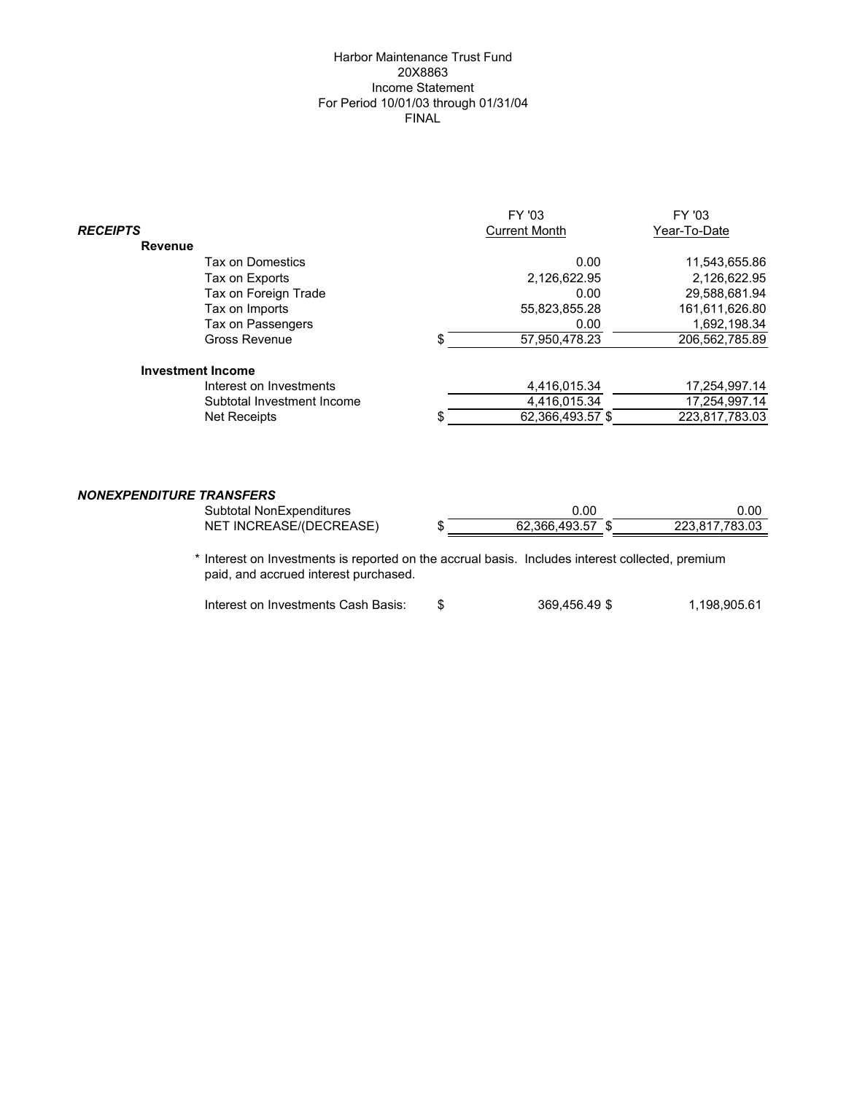## Harbor Maintenance Trust Fund 20X8863 Income Statement For Period 10/01/03 through 01/31/04 FINAL

|                                        |                            |   | FY '03               | FY '03         |
|----------------------------------------|----------------------------|---|----------------------|----------------|
| <b>RECEIPTS</b>                        |                            |   | <b>Current Month</b> | Year-To-Date   |
| <b>Revenue</b>                         |                            |   |                      |                |
|                                        | Tax on Domestics           |   | 0.00                 | 11,543,655.86  |
|                                        | Tax on Exports             |   | 2,126,622.95         | 2,126,622.95   |
|                                        | Tax on Foreign Trade       |   | 0.00                 | 29,588,681.94  |
|                                        | Tax on Imports             |   | 55,823,855.28        | 161,611,626.80 |
|                                        | Tax on Passengers          |   | 0.00                 | 1,692,198.34   |
|                                        | Gross Revenue              |   | 57,950,478.23        | 206,562,785.89 |
|                                        | <b>Investment Income</b>   |   |                      |                |
|                                        | Interest on Investments    |   | 4,416,015.34         | 17,254,997.14  |
|                                        | Subtotal Investment Income |   | 4,416,015.34         | 17,254,997.14  |
|                                        | Net Receipts               | S | 62,366,493.57 \$     | 223,817,783.03 |
|                                        |                            |   |                      |                |
| <i><b>NONEXPENDITURE TRANSFERS</b></i> |                            |   |                      |                |
|                                        | Subtotal NonExpenditures   |   | 0.00                 | 0.00           |
|                                        | NET INCREASE/(DECREASE)    | S | 62,366,493.57 \$     | 223,817,783.03 |
|                                        |                            |   |                      |                |

\* Interest on Investments is reported on the accrual basis. Includes interest collected, premium paid, and accrued interest purchased.

|  | Interest on Investments Cash Basis: |  | 369,456.49 \$ | 1,198,905.61 |
|--|-------------------------------------|--|---------------|--------------|
|--|-------------------------------------|--|---------------|--------------|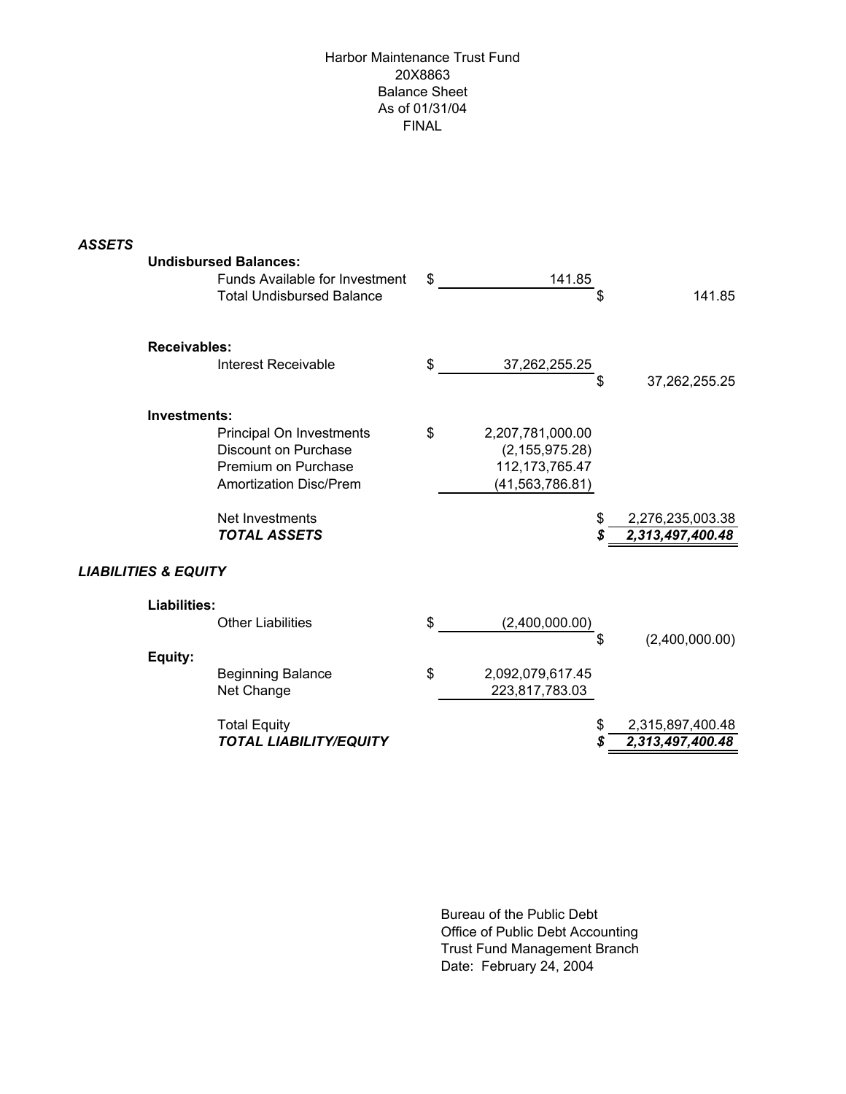# Harbor Maintenance Trust Fund 20X8863 Balance Sheet As of 01/31/04 FINAL

| <b>ASSETS</b> |                                 | <b>Undisbursed Balances:</b><br>Funds Available for Investment<br><b>Total Undisbursed Balance</b>       | \$<br>141.85<br>\$                                                                   | 141.85                               |
|---------------|---------------------------------|----------------------------------------------------------------------------------------------------------|--------------------------------------------------------------------------------------|--------------------------------------|
|               | <b>Receivables:</b>             |                                                                                                          |                                                                                      |                                      |
|               |                                 | Interest Receivable                                                                                      | \$<br>37,262,255.25<br>\$                                                            | 37,262,255.25                        |
|               | Investments:                    |                                                                                                          |                                                                                      |                                      |
|               |                                 | Principal On Investments<br>Discount on Purchase<br>Premium on Purchase<br><b>Amortization Disc/Prem</b> | \$<br>2,207,781,000.00<br>(2, 155, 975.28)<br>112, 173, 765. 47<br>(41, 563, 786.81) |                                      |
|               |                                 | Net Investments<br><b>TOTAL ASSETS</b>                                                                   | \$                                                                                   | 2,276,235,003.38<br>2,313,497,400.48 |
|               | <b>LIABILITIES &amp; EQUITY</b> |                                                                                                          |                                                                                      |                                      |
|               | <b>Liabilities:</b>             |                                                                                                          |                                                                                      |                                      |
|               |                                 | <b>Other Liabilities</b>                                                                                 | \$<br>(2,400,000.00)<br>\$                                                           | (2,400,000.00)                       |
|               | Equity:                         |                                                                                                          |                                                                                      |                                      |
|               |                                 | <b>Beginning Balance</b><br>Net Change                                                                   | \$<br>2,092,079,617.45<br>223,817,783.03                                             |                                      |
|               |                                 | <b>Total Equity</b>                                                                                      | \$                                                                                   | 2,315,897,400.48                     |
|               |                                 | <b>TOTAL LIABILITY/EQUITY</b>                                                                            | S                                                                                    | 2,313,497,400.48                     |

Bureau of the Public Debt Office of Public Debt Accounting Trust Fund Management Branch Date: February 24, 2004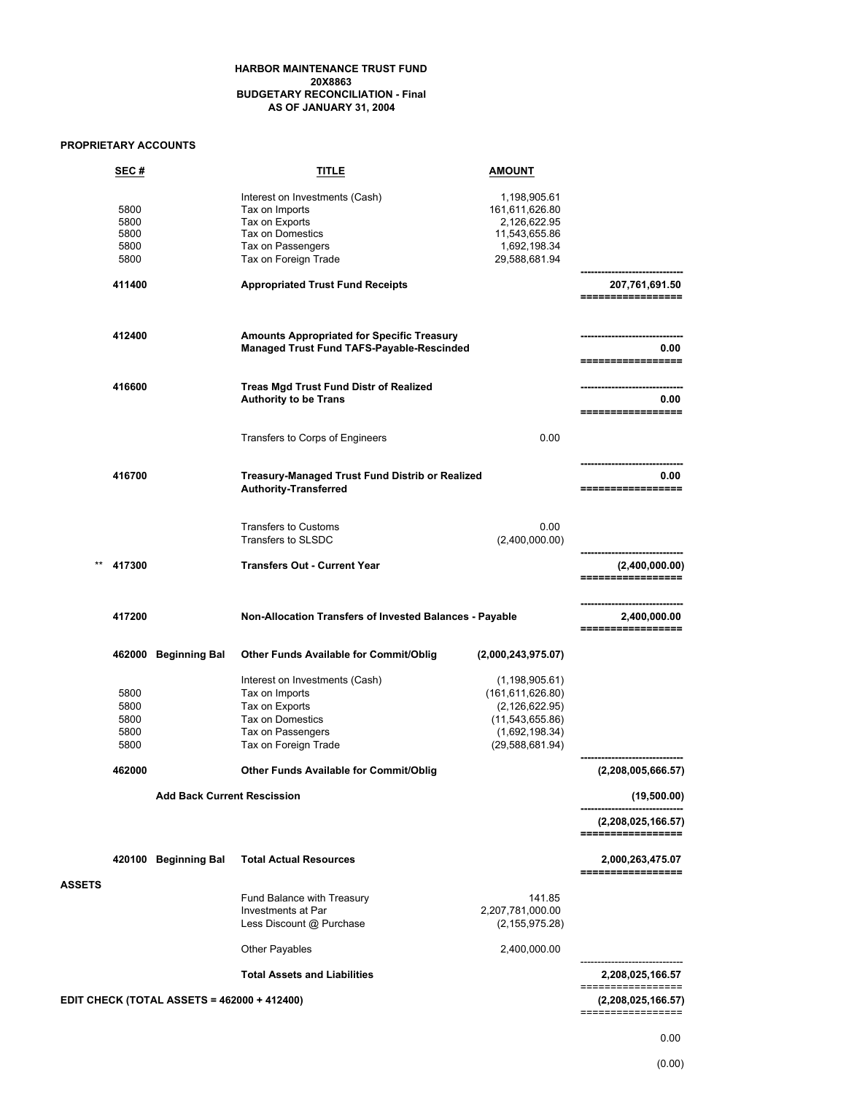#### **HARBOR MAINTENANCE TRUST FUND 20X8863 BUDGETARY RECONCILIATION - Final AS OF JANUARY 31, 2004**

## **PROPRIETARY ACCOUNTS**

|               | SEC#                                 |                                                    | TITLE                                                                                                                               | AMOUNT                                                                                                               |                                         |
|---------------|--------------------------------------|----------------------------------------------------|-------------------------------------------------------------------------------------------------------------------------------------|----------------------------------------------------------------------------------------------------------------------|-----------------------------------------|
|               | 5800<br>5800<br>5800<br>5800<br>5800 |                                                    | Interest on Investments (Cash)<br>Tax on Imports<br>Tax on Exports<br>Tax on Domestics<br>Tax on Passengers<br>Tax on Foreign Trade | 1,198,905.61<br>161,611,626.80<br>2,126,622.95<br>11,543,655.86<br>1,692,198.34<br>29,588,681.94                     |                                         |
|               | 411400                               |                                                    | <b>Appropriated Trust Fund Receipts</b>                                                                                             |                                                                                                                      | 207,761,691.50<br>=================     |
|               | 412400                               |                                                    | <b>Amounts Appropriated for Specific Treasury</b><br>Managed Trust Fund TAFS-Payable-Rescinded                                      |                                                                                                                      | 0.00<br>=================               |
|               | 416600                               |                                                    | Treas Mgd Trust Fund Distr of Realized<br><b>Authority to be Trans</b>                                                              |                                                                                                                      | 0.00<br>=================               |
|               |                                      |                                                    | Transfers to Corps of Engineers                                                                                                     | 0.00                                                                                                                 |                                         |
|               | 416700                               |                                                    | <b>Treasury-Managed Trust Fund Distrib or Realized</b><br><b>Authority-Transferred</b>                                              |                                                                                                                      | 0.00<br>=================               |
|               |                                      |                                                    | <b>Transfers to Customs</b><br><b>Transfers to SLSDC</b>                                                                            | 0.00<br>(2,400,000.00)                                                                                               |                                         |
|               | 417300                               |                                                    | <b>Transfers Out - Current Year</b>                                                                                                 |                                                                                                                      | (2,400,000.00)<br>=================     |
|               | 417200                               |                                                    | Non-Allocation Transfers of Invested Balances - Payable                                                                             |                                                                                                                      | 2,400,000.00<br>=================       |
|               |                                      | 462000 Beginning Bal                               | Other Funds Available for Commit/Oblig                                                                                              | (2,000,243,975.07)                                                                                                   |                                         |
|               | 5800<br>5800<br>5800<br>5800<br>5800 |                                                    | Interest on Investments (Cash)<br>Tax on Imports<br>Tax on Exports<br>Tax on Domestics<br>Tax on Passengers<br>Tax on Foreign Trade | (1, 198, 905.61)<br>(161, 611, 626.80)<br>(2, 126, 622.95)<br>(11,543,655.86)<br>(1,692,198.34)<br>(29, 588, 681.94) |                                         |
|               | 462000                               |                                                    | Other Funds Available for Commit/Oblig                                                                                              |                                                                                                                      | (2,208,005,666.57)                      |
|               |                                      | <b>Add Back Current Rescission</b>                 |                                                                                                                                     |                                                                                                                      | (19,500.00)                             |
|               |                                      |                                                    |                                                                                                                                     |                                                                                                                      | (2,208,025,166.57)<br>================= |
| <b>ASSETS</b> |                                      | 420100 Beginning Bal                               | <b>Total Actual Resources</b>                                                                                                       |                                                                                                                      | 2,000,263,475.07<br>==============      |
|               |                                      |                                                    | Fund Balance with Treasury<br>Investments at Par<br>Less Discount @ Purchase                                                        | 141.85<br>2,207,781,000.00<br>(2, 155, 975.28)                                                                       |                                         |
|               |                                      |                                                    | Other Payables                                                                                                                      | 2,400,000.00                                                                                                         |                                         |
|               |                                      |                                                    | <b>Total Assets and Liabilities</b>                                                                                                 |                                                                                                                      | 2,208,025,166.57<br>==============      |
|               |                                      | <b>EDIT CHECK (TOTAL ASSETS = 462000 + 412400)</b> |                                                                                                                                     |                                                                                                                      | (2,208,025,166.57)<br>================= |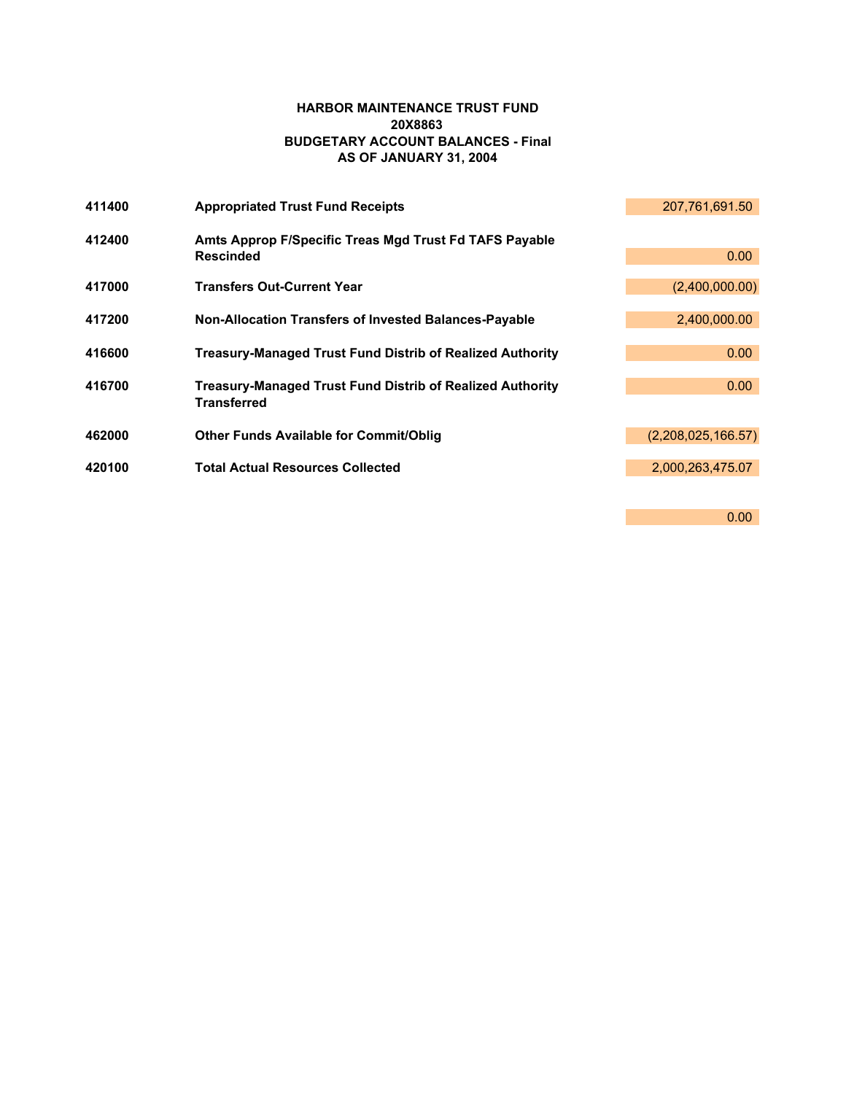# **HARBOR MAINTENANCE TRUST FUND 20X8863 BUDGETARY ACCOUNT BALANCES - Final AS OF JANUARY 31, 2004**

| 411400 | <b>Appropriated Trust Fund Receipts</b>                                                | 207,761,691.50     |
|--------|----------------------------------------------------------------------------------------|--------------------|
| 412400 | Amts Approp F/Specific Treas Mgd Trust Fd TAFS Payable<br><b>Rescinded</b>             | 0.00               |
| 417000 | <b>Transfers Out-Current Year</b>                                                      | (2,400,000.00)     |
| 417200 | <b>Non-Allocation Transfers of Invested Balances-Payable</b>                           | 2,400,000.00       |
| 416600 | <b>Treasury-Managed Trust Fund Distrib of Realized Authority</b>                       | 0.00               |
| 416700 | <b>Treasury-Managed Trust Fund Distrib of Realized Authority</b><br><b>Transferred</b> | 0.00               |
| 462000 | <b>Other Funds Available for Commit/Oblig</b>                                          | (2,208,025,166.57) |
| 420100 | <b>Total Actual Resources Collected</b>                                                | 2,000,263,475.07   |
|        |                                                                                        |                    |
|        |                                                                                        | 0.00               |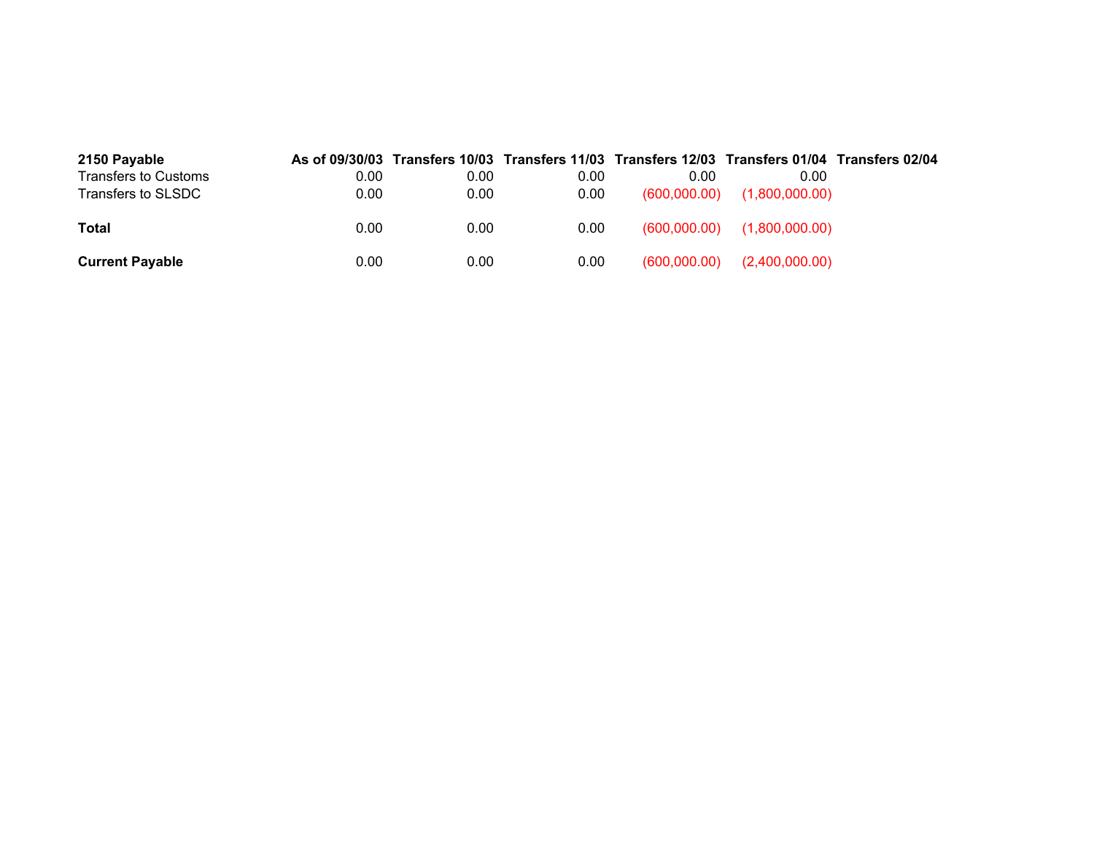| 2150 Payable                |      |      |      | As of 09/30/03 Transfers 10/03 Transfers 11/03 Transfers 12/03 Transfers 01/04 Transfers 02/04 |                                 |  |
|-----------------------------|------|------|------|------------------------------------------------------------------------------------------------|---------------------------------|--|
| <b>Transfers to Customs</b> | 0.00 | 0.00 | 0.00 | 0.00                                                                                           | 0.00                            |  |
| Transfers to SLSDC          | 0.00 | 0.00 | 0.00 |                                                                                                | $(600,000.00)$ $(1,800,000.00)$ |  |
|                             |      |      |      |                                                                                                |                                 |  |
| Total                       | 0.00 | 0.00 | 0.00 |                                                                                                | $(600,000.00)$ $(1,800,000.00)$ |  |
|                             |      |      |      |                                                                                                |                                 |  |
| <b>Current Payable</b>      | 0.00 | 0.00 | 0.00 | (600,000.00)                                                                                   | (2,400,000.00)                  |  |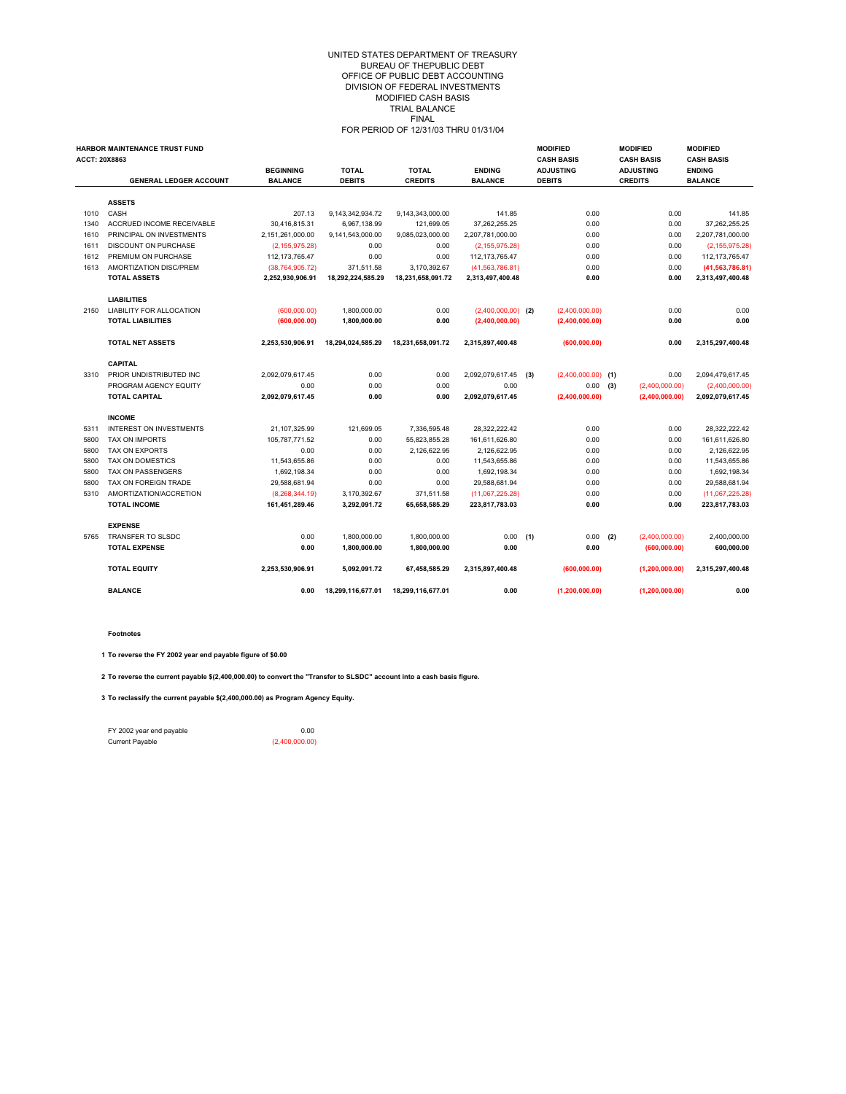#### UNITED STATES DEPARTMENT OF TREASURY BUREAU OF THEPUBLIC DEBT OFFICE OF PUBLIC DEBT ACCOUNTING DIVISION OF FEDERAL INVESTMENTS MODIFIED CASH BASIS TRIAL BALANCE FINAL FOR PERIOD OF 12/31/03 THRU 01/31/04

| <b>ACCT: 20X8863</b> | <b>HARBOR MAINTENANCE TRUST FUND</b> |                   |                   |                   |                      | <b>MODIFIED</b><br><b>CASH BASIS</b> |     | <b>MODIFIED</b><br><b>CASH BASIS</b> | <b>MODIFIED</b><br><b>CASH BASIS</b> |
|----------------------|--------------------------------------|-------------------|-------------------|-------------------|----------------------|--------------------------------------|-----|--------------------------------------|--------------------------------------|
|                      |                                      | <b>BEGINNING</b>  | <b>TOTAL</b>      | <b>TOTAL</b>      | <b>ENDING</b>        | <b>ADJUSTING</b>                     |     | <b>ADJUSTING</b>                     | <b>ENDING</b>                        |
|                      | <b>GENERAL LEDGER ACCOUNT</b>        | <b>BALANCE</b>    | <b>DEBITS</b>     | <b>CREDITS</b>    | <b>BALANCE</b>       | <b>DEBITS</b>                        |     | <b>CREDITS</b>                       | <b>BALANCE</b>                       |
|                      | <b>ASSETS</b>                        |                   |                   |                   |                      |                                      |     |                                      |                                      |
| 1010                 | CASH                                 | 207.13            | 9,143,342,934.72  | 9,143,343,000.00  | 141.85               | 0.00                                 |     | 0.00                                 | 141.85                               |
| 1340                 | ACCRUED INCOME RECEIVABLE            | 30.416.815.31     | 6.967.138.99      | 121.699.05        | 37.262.255.25        | 0.00                                 |     | 0.00                                 | 37.262.255.25                        |
| 1610                 | PRINCIPAL ON INVESTMENTS             | 2,151,261,000.00  | 9,141,543,000.00  | 9.085.023.000.00  | 2.207.781.000.00     | 0.00                                 |     | 0.00                                 | 2,207,781,000.00                     |
| 1611                 | <b>DISCOUNT ON PURCHASE</b>          | (2, 155, 975.28)  | 0.00              | 0.00              | (2, 155, 975.28)     | 0.00                                 |     | 0.00                                 | (2, 155, 975.28)                     |
| 1612                 | PREMIUM ON PURCHASE                  | 112, 173, 765. 47 | 0.00              | 0.00              | 112, 173, 765. 47    | 0.00                                 |     | 0.00                                 | 112, 173, 765. 47                    |
| 1613                 | AMORTIZATION DISC/PREM               | (38, 764, 905.72) | 371.511.58        | 3.170.392.67      | (41,563,786.81)      | 0.00                                 |     | 0.00                                 | (41, 563, 786.81)                    |
|                      | <b>TOTAL ASSETS</b>                  | 2,252,930,906.91  | 18,292,224,585.29 | 18,231,658,091.72 | 2,313,497,400.48     | 0.00                                 |     | 0.00                                 | 2,313,497,400.48                     |
|                      | <b>LIABILITIES</b>                   |                   |                   |                   |                      |                                      |     |                                      |                                      |
| 2150                 | <b>LIABILITY FOR ALLOCATION</b>      | (600,000.00)      | 1,800,000.00      | 0.00              | $(2,400,000.00)$ (2) | (2,400,000.00)                       |     | 0.00                                 | 0.00                                 |
|                      | <b>TOTAL LIABILITIES</b>             | (600, 000.00)     | 1,800,000.00      | 0.00              | (2,400,000.00)       | (2,400,000.00)                       |     | 0.00                                 | 0.00                                 |
|                      | <b>TOTAL NET ASSETS</b>              | 2,253,530,906.91  | 18,294,024,585.29 | 18,231,658,091.72 | 2,315,897,400.48     | (600, 000.00)                        |     | 0.00                                 | 2,315,297,400.48                     |
|                      | <b>CAPITAL</b>                       |                   |                   |                   |                      |                                      |     |                                      |                                      |
| 3310                 | PRIOR UNDISTRIBUTED INC              | 2,092,079,617.45  | 0.00              | 0.00              | 2,092,079,617.45 (3) | $(2,400,000.00)$ (1)                 |     | 0.00                                 | 2,094,479,617.45                     |
|                      | PROGRAM AGENCY EQUITY                | 0.00              | 0.00              | 0.00              | 0.00                 | 0.00                                 | (3) | (2,400,000.00)                       | (2,400,000.00)                       |
|                      | <b>TOTAL CAPITAL</b>                 | 2,092,079,617.45  | 0.00              | 0.00              | 2,092,079,617.45     | (2,400,000.00)                       |     | (2,400,000.00)                       | 2,092,079,617.45                     |
|                      | <b>INCOME</b>                        |                   |                   |                   |                      |                                      |     |                                      |                                      |
| 5311                 | <b>INTEREST ON INVESTMENTS</b>       | 21.107.325.99     | 121.699.05        | 7.336.595.48      | 28.322.222.42        | 0.00                                 |     | 0.00                                 | 28.322.222.42                        |
| 5800                 | <b>TAX ON IMPORTS</b>                | 105,787,771.52    | 0.00              | 55,823,855.28     | 161,611,626.80       | 0.00                                 |     | 0.00                                 | 161,611,626.80                       |
| 5800                 | TAX ON EXPORTS                       | 0.00              | 0.00              | 2,126,622.95      | 2,126,622.95         | 0.00                                 |     | 0.00                                 | 2,126,622.95                         |
| 5800                 | <b>TAX ON DOMESTICS</b>              | 11.543.655.86     | 0.00              | 0.00              | 11.543.655.86        | 0.00                                 |     | 0.00                                 | 11,543,655.86                        |
| 5800                 | <b>TAX ON PASSENGERS</b>             | 1,692,198.34      | 0.00              | 0.00              | 1,692,198.34         | 0.00                                 |     | 0.00                                 | 1,692,198.34                         |
| 5800                 | TAX ON FOREIGN TRADE                 | 29,588,681.94     | 0.00              | 0.00              | 29,588,681.94        | 0.00                                 |     | 0.00                                 | 29,588,681.94                        |
| 5310                 | AMORTIZATION/ACCRETION               | (8,268,344.19)    | 3,170,392.67      | 371.511.58        | (11,067,225.28)      | 0.00                                 |     | 0.00                                 | (11,067,225.28)                      |
|                      | <b>TOTAL INCOME</b>                  | 161,451,289.46    | 3,292,091.72      | 65,658,585.29     | 223,817,783.03       | 0.00                                 |     | 0.00                                 | 223.817.783.03                       |
|                      | <b>EXPENSE</b>                       |                   |                   |                   |                      |                                      |     |                                      |                                      |
| 5765                 | TRANSFER TO SLSDC                    | 0.00              | 1,800,000.00      | 1,800,000.00      | 0.00                 | (1)<br>0.00                          | (2) | (2,400,000.00)                       | 2,400,000.00                         |
|                      | <b>TOTAL EXPENSE</b>                 | 0.00              | 1,800,000.00      | 1,800,000.00      | 0.00                 | 0.00                                 |     | (600, 000.00)                        | 600,000.00                           |
|                      | <b>TOTAL EQUITY</b>                  | 2,253,530,906.91  | 5,092,091.72      | 67,458,585.29     | 2,315,897,400.48     | (600, 000.00)                        |     | (1, 200, 000.00)                     | 2.315.297.400.48                     |
|                      | <b>BALANCE</b>                       | 0.00              | 18,299,116,677.01 | 18,299,116,677.01 | 0.00                 | (1, 200, 000.00)                     |     | (1, 200, 000.00)                     | 0.00                                 |

**Footnotes**

**1 To reverse the FY 2002 year end payable figure of \$0.00**

**2 To reverse the current payable \$(2,400,000.00) to convert the "Transfer to SLSDC" account into a cash basis figure.**

**3 To reclassify the current payable \$(2,400,000.00) as Program Agency Equity.**

FY 2002 year end payable 0.00<br>
Current Payable (2,400,000.00)

 $(2,400,000.00)$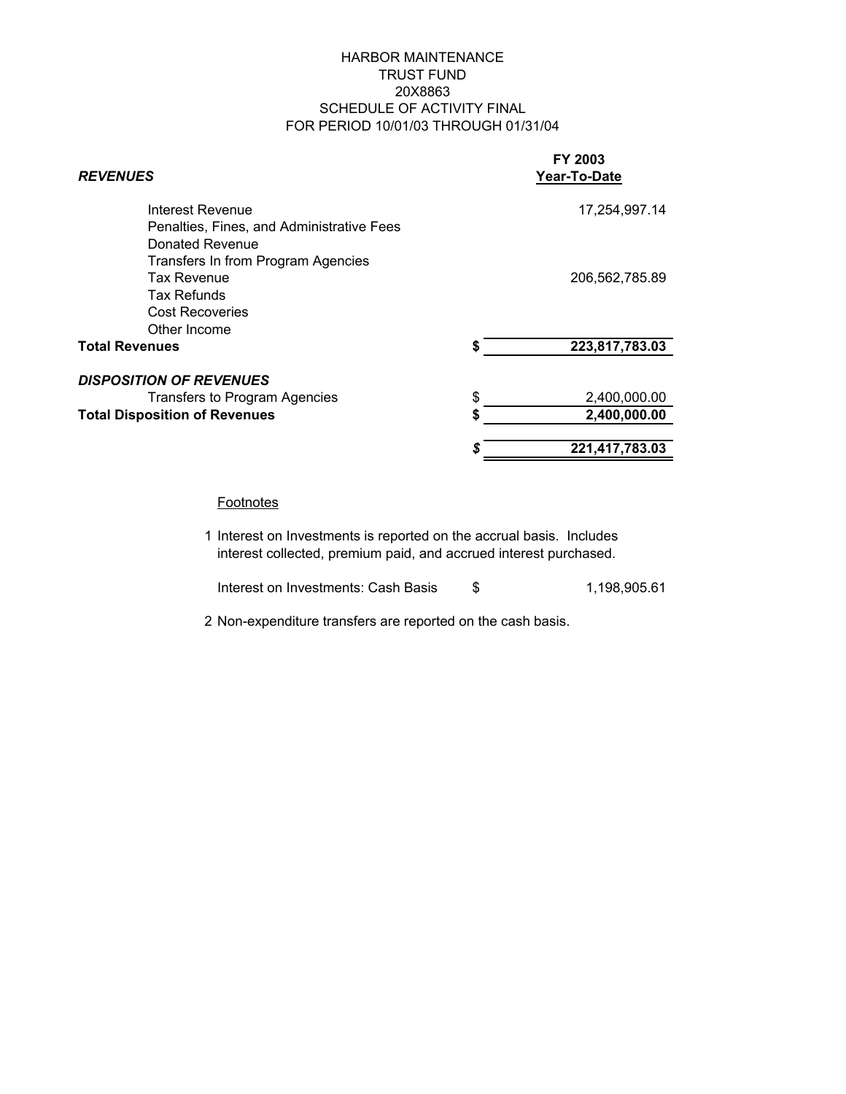# HARBOR MAINTENANCE TRUST FUND 20X8863 SCHEDULE OF ACTIVITY FINAL FOR PERIOD 10/01/03 THROUGH 01/31/04

| <b>REVENUES</b>                           |    | FY 2003<br>Year-To-Date |  |  |
|-------------------------------------------|----|-------------------------|--|--|
| Interest Revenue                          |    | 17,254,997.14           |  |  |
| Penalties, Fines, and Administrative Fees |    |                         |  |  |
| Donated Revenue                           |    |                         |  |  |
| Transfers In from Program Agencies        |    |                         |  |  |
| <b>Tax Revenue</b>                        |    | 206,562,785.89          |  |  |
| Tax Refunds                               |    |                         |  |  |
| <b>Cost Recoveries</b>                    |    |                         |  |  |
| Other Income                              |    |                         |  |  |
| <b>Total Revenues</b>                     | S  | 223,817,783.03          |  |  |
| <b>DISPOSITION OF REVENUES</b>            |    |                         |  |  |
| Transfers to Program Agencies             | \$ | 2,400,000.00            |  |  |
| <b>Total Disposition of Revenues</b>      | S  | 2,400,000.00            |  |  |
|                                           | S  | 221,417,783.03          |  |  |

## **Footnotes**

1 Interest on Investments is reported on the accrual basis. Includes interest collected, premium paid, and accrued interest purchased.

Interest on Investments: Cash Basis  $$3,198,905.61$ 

2 Non-expenditure transfers are reported on the cash basis.